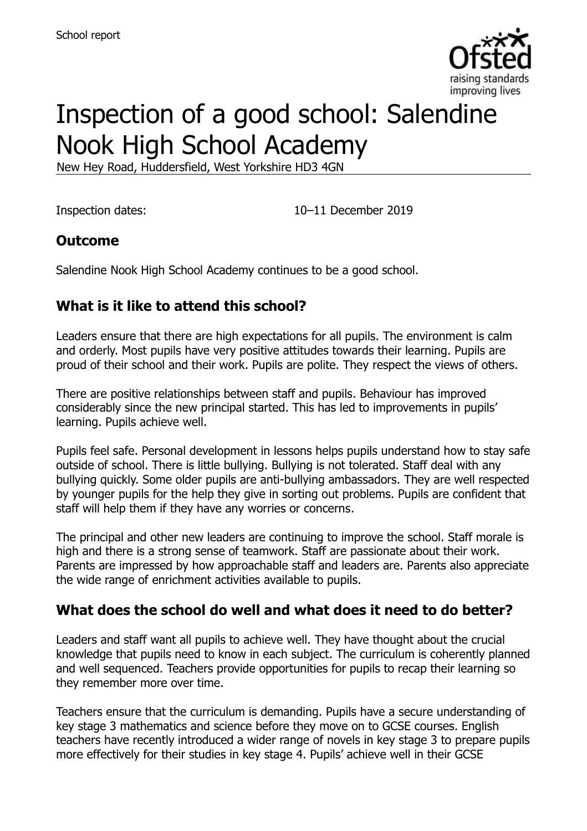

# Inspection of a good school: Salendine Nook High School Academy

New Hey Road, Huddersfield, West Yorkshire HD3 4GN

Inspection dates: 10–11 December 2019

### **Outcome**

Salendine Nook High School Academy continues to be a good school.

# **What is it like to attend this school?**

Leaders ensure that there are high expectations for all pupils. The environment is calm and orderly. Most pupils have very positive attitudes towards their learning. Pupils are proud of their school and their work. Pupils are polite. They respect the views of others.

There are positive relationships between staff and pupils. Behaviour has improved considerably since the new principal started. This has led to improvements in pupils' learning. Pupils achieve well.

Pupils feel safe. Personal development in lessons helps pupils understand how to stay safe outside of school. There is little bullying. Bullying is not tolerated. Staff deal with any bullying quickly. Some older pupils are anti-bullying ambassadors. They are well respected by younger pupils for the help they give in sorting out problems. Pupils are confident that staff will help them if they have any worries or concerns.

The principal and other new leaders are continuing to improve the school. Staff morale is high and there is a strong sense of teamwork. Staff are passionate about their work. Parents are impressed by how approachable staff and leaders are. Parents also appreciate the wide range of enrichment activities available to pupils.

# **What does the school do well and what does it need to do better?**

Leaders and staff want all pupils to achieve well. They have thought about the crucial knowledge that pupils need to know in each subject. The curriculum is coherently planned and well sequenced. Teachers provide opportunities for pupils to recap their learning so they remember more over time.

Teachers ensure that the curriculum is demanding. Pupils have a secure understanding of key stage 3 mathematics and science before they move on to GCSE courses. English teachers have recently introduced a wider range of novels in key stage 3 to prepare pupils more effectively for their studies in key stage 4. Pupils' achieve well in their GCSE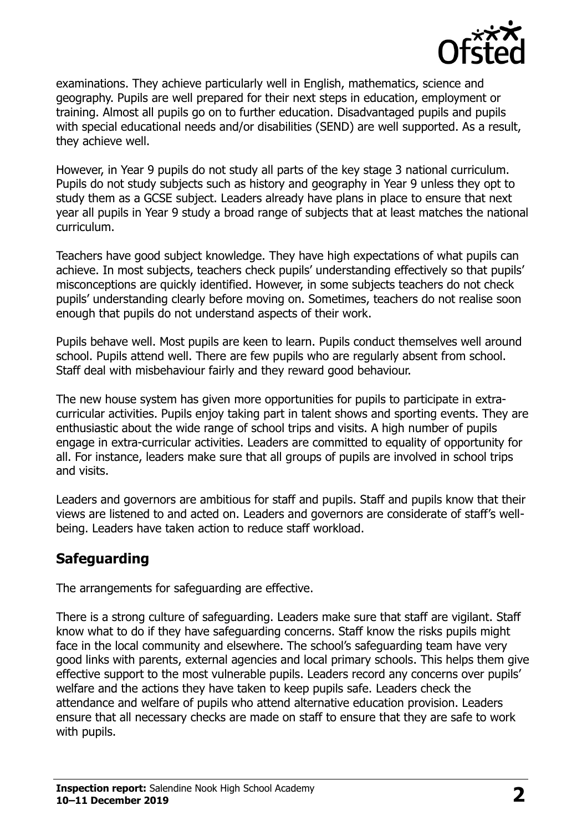

examinations. They achieve particularly well in English, mathematics, science and geography. Pupils are well prepared for their next steps in education, employment or training. Almost all pupils go on to further education. Disadvantaged pupils and pupils with special educational needs and/or disabilities (SEND) are well supported. As a result, they achieve well.

However, in Year 9 pupils do not study all parts of the key stage 3 national curriculum. Pupils do not study subjects such as history and geography in Year 9 unless they opt to study them as a GCSE subject. Leaders already have plans in place to ensure that next year all pupils in Year 9 study a broad range of subjects that at least matches the national curriculum.

Teachers have good subject knowledge. They have high expectations of what pupils can achieve. In most subjects, teachers check pupils' understanding effectively so that pupils' misconceptions are quickly identified. However, in some subjects teachers do not check pupils' understanding clearly before moving on. Sometimes, teachers do not realise soon enough that pupils do not understand aspects of their work.

Pupils behave well. Most pupils are keen to learn. Pupils conduct themselves well around school. Pupils attend well. There are few pupils who are regularly absent from school. Staff deal with misbehaviour fairly and they reward good behaviour.

The new house system has given more opportunities for pupils to participate in extracurricular activities. Pupils enjoy taking part in talent shows and sporting events. They are enthusiastic about the wide range of school trips and visits. A high number of pupils engage in extra-curricular activities. Leaders are committed to equality of opportunity for all. For instance, leaders make sure that all groups of pupils are involved in school trips and visits.

Leaders and governors are ambitious for staff and pupils. Staff and pupils know that their views are listened to and acted on. Leaders and governors are considerate of staff's wellbeing. Leaders have taken action to reduce staff workload.

# **Safeguarding**

The arrangements for safeguarding are effective.

There is a strong culture of safeguarding. Leaders make sure that staff are vigilant. Staff know what to do if they have safeguarding concerns. Staff know the risks pupils might face in the local community and elsewhere. The school's safeguarding team have very good links with parents, external agencies and local primary schools. This helps them give effective support to the most vulnerable pupils. Leaders record any concerns over pupils' welfare and the actions they have taken to keep pupils safe. Leaders check the attendance and welfare of pupils who attend alternative education provision. Leaders ensure that all necessary checks are made on staff to ensure that they are safe to work with pupils.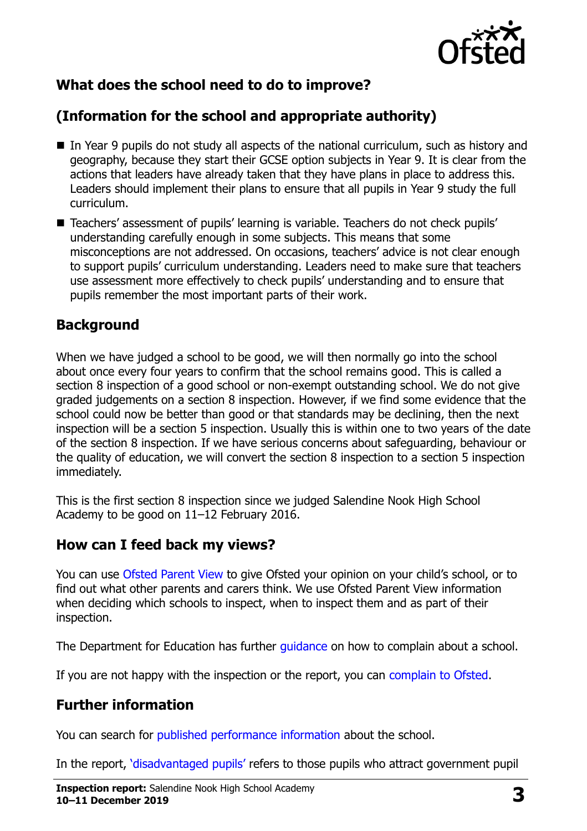

# **What does the school need to do to improve?**

# **(Information for the school and appropriate authority)**

- In Year 9 pupils do not study all aspects of the national curriculum, such as history and geography, because they start their GCSE option subjects in Year 9. It is clear from the actions that leaders have already taken that they have plans in place to address this. Leaders should implement their plans to ensure that all pupils in Year 9 study the full curriculum.
- Teachers' assessment of pupils' learning is variable. Teachers do not check pupils' understanding carefully enough in some subjects. This means that some misconceptions are not addressed. On occasions, teachers' advice is not clear enough to support pupils' curriculum understanding. Leaders need to make sure that teachers use assessment more effectively to check pupils' understanding and to ensure that pupils remember the most important parts of their work.

#### **Background**

When we have judged a school to be good, we will then normally go into the school about once every four years to confirm that the school remains good. This is called a section 8 inspection of a good school or non-exempt outstanding school. We do not give graded judgements on a section 8 inspection. However, if we find some evidence that the school could now be better than good or that standards may be declining, then the next inspection will be a section 5 inspection. Usually this is within one to two years of the date of the section 8 inspection. If we have serious concerns about safeguarding, behaviour or the quality of education, we will convert the section 8 inspection to a section 5 inspection immediately.

This is the first section 8 inspection since we judged Salendine Nook High School Academy to be good on 11–12 February 2016.

#### **How can I feed back my views?**

You can use [Ofsted Parent View](https://parentview.ofsted.gov.uk/) to give Ofsted your opinion on your child's school, or to find out what other parents and carers think. We use Ofsted Parent View information when deciding which schools to inspect, when to inspect them and as part of their inspection.

The Department for Education has further quidance on how to complain about a school.

If you are not happy with the inspection or the report, you can [complain to Ofsted.](https://www.gov.uk/complain-ofsted-report)

#### **Further information**

You can search for [published performance information](http://www.compare-school-performance.service.gov.uk/) about the school.

In the report, '[disadvantaged pupils](http://www.gov.uk/guidance/pupil-premium-information-for-schools-and-alternative-provision-settings)' refers to those pupils who attract government pupil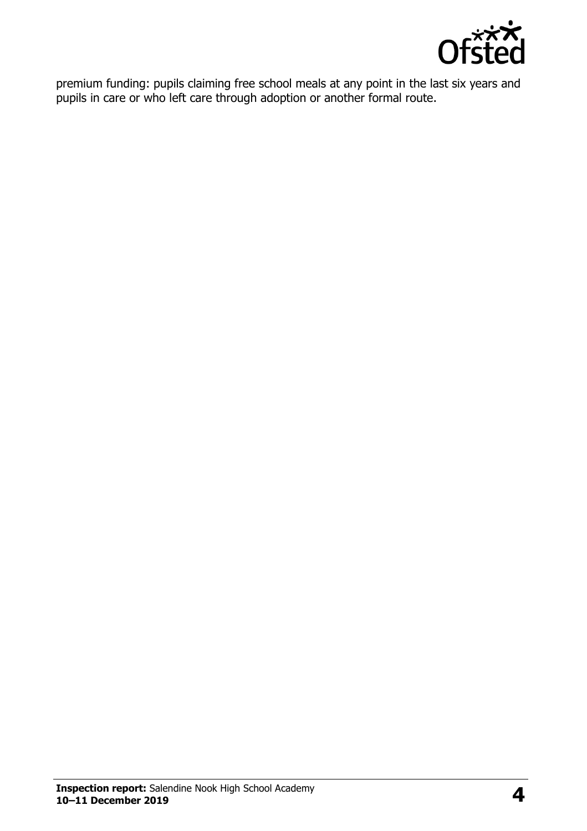

premium funding: pupils claiming free school meals at any point in the last six years and pupils in care or who left care through adoption or another formal route.

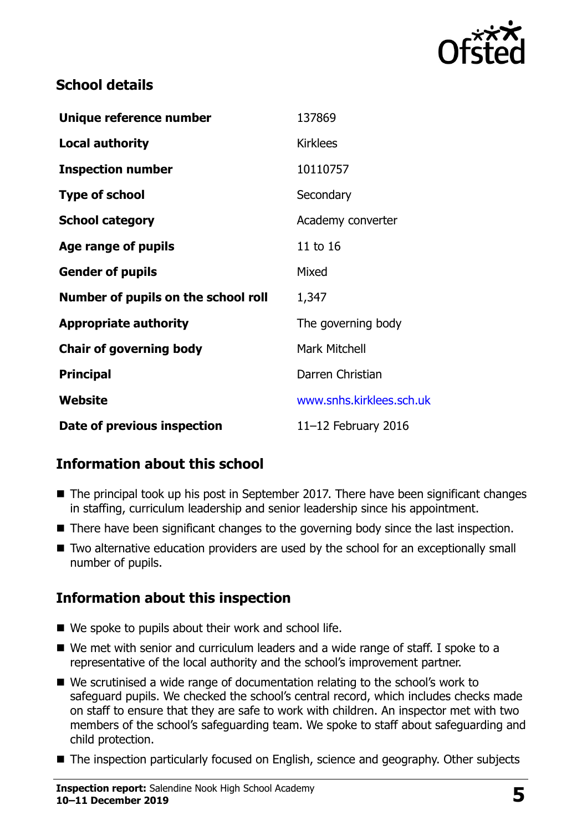

### **School details**

| Unique reference number             | 137869                   |
|-------------------------------------|--------------------------|
| <b>Local authority</b>              | <b>Kirklees</b>          |
| <b>Inspection number</b>            | 10110757                 |
| <b>Type of school</b>               | Secondary                |
| <b>School category</b>              | Academy converter        |
| Age range of pupils                 | 11 to 16                 |
| <b>Gender of pupils</b>             | Mixed                    |
| Number of pupils on the school roll | 1,347                    |
| <b>Appropriate authority</b>        | The governing body       |
| <b>Chair of governing body</b>      | <b>Mark Mitchell</b>     |
| <b>Principal</b>                    | Darren Christian         |
| Website                             | www.snhs.kirklees.sch.uk |
| Date of previous inspection         | 11 $-12$ February 2016   |

# **Information about this school**

- The principal took up his post in September 2017. There have been significant changes in staffing, curriculum leadership and senior leadership since his appointment.
- There have been significant changes to the governing body since the last inspection.
- Two alternative education providers are used by the school for an exceptionally small number of pupils.

# **Information about this inspection**

- We spoke to pupils about their work and school life.
- We met with senior and curriculum leaders and a wide range of staff. I spoke to a representative of the local authority and the school's improvement partner.
- We scrutinised a wide range of documentation relating to the school's work to safeguard pupils. We checked the school's central record, which includes checks made on staff to ensure that they are safe to work with children. An inspector met with two members of the school's safeguarding team. We spoke to staff about safeguarding and child protection.
- The inspection particularly focused on English, science and geography. Other subjects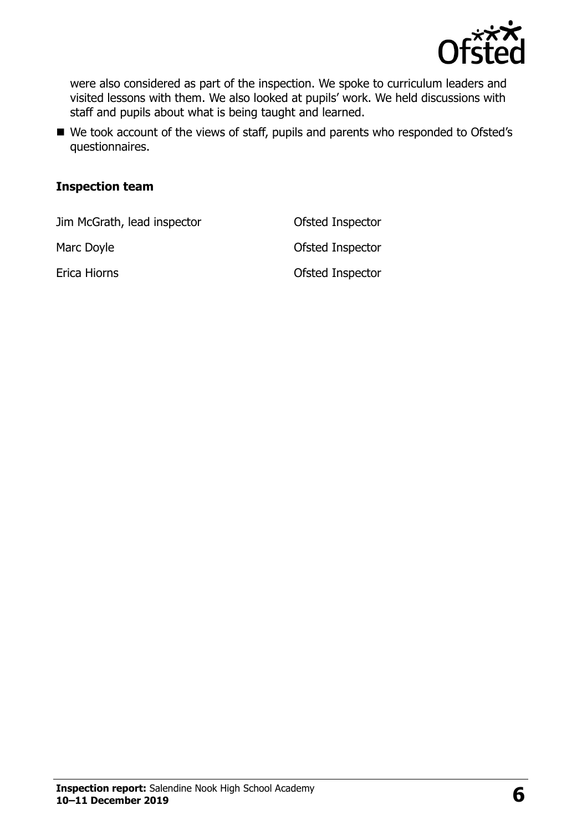

were also considered as part of the inspection. We spoke to curriculum leaders and visited lessons with them. We also looked at pupils' work. We held discussions with staff and pupils about what is being taught and learned.

■ We took account of the views of staff, pupils and parents who responded to Ofsted's questionnaires.

#### **Inspection team**

Jim McGrath, lead inspector Ofsted Inspector

Marc Doyle **Marc Doyle Marc Doyle Ofsted Inspector** 

Erica Hiorns Ofsted Inspector